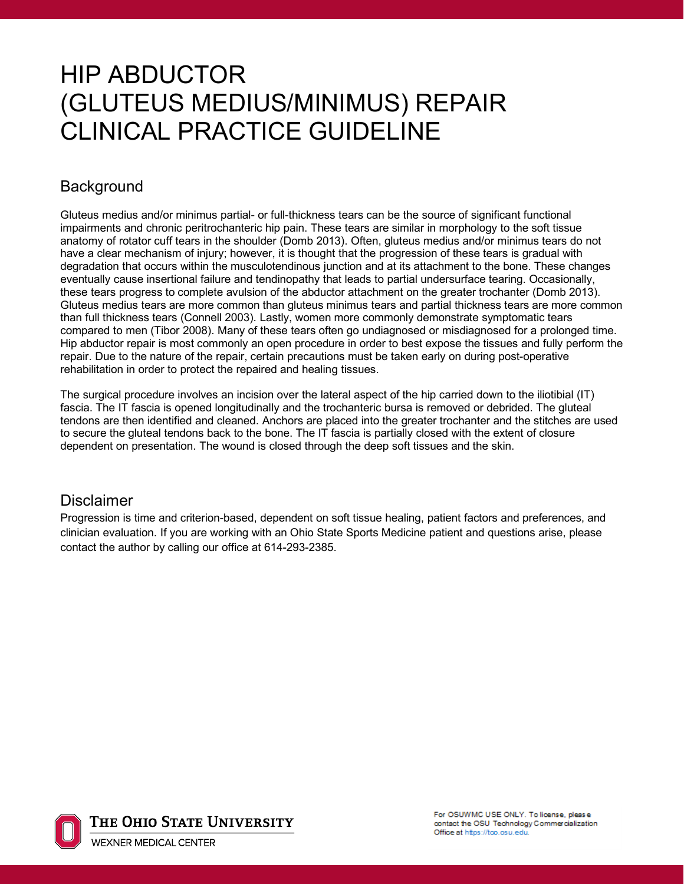# HIP ABDUCTOR (GLUTEUS MEDIUS/MINIMUS) REPAIR CLINICAL PRACTICE GUIDELINE

### **Background**

Gluteus medius and/or minimus partial- or full-thickness tears can be the source of significant functional impairments and chronic peritrochanteric hip pain. These tears are similar in morphology to the soft tissue anatomy of rotator cuff tears in the shoulder (Domb 2013). Often, gluteus medius and/or minimus tears do not have a clear mechanism of injury; however, it is thought that the progression of these tears is gradual with degradation that occurs within the musculotendinous junction and at its attachment to the bone. These changes eventually cause insertional failure and tendinopathy that leads to partial undersurface tearing. Occasionally, these tears progress to complete avulsion of the abductor attachment on the greater trochanter (Domb 2013). Gluteus medius tears are more common than gluteus minimus tears and partial thickness tears are more common than full thickness tears (Connell 2003). Lastly, women more commonly demonstrate symptomatic tears compared to men (Tibor 2008). Many of these tears often go undiagnosed or misdiagnosed for a prolonged time. Hip abductor repair is most commonly an open procedure in order to best expose the tissues and fully perform the repair. Due to the nature of the repair, certain precautions must be taken early on during post-operative rehabilitation in order to protect the repaired and healing tissues.

The surgical procedure involves an incision over the lateral aspect of the hip carried down to the iliotibial (IT) fascia. The IT fascia is opened longitudinally and the trochanteric bursa is removed or debrided. The gluteal tendons are then identified and cleaned. Anchors are placed into the greater trochanter and the stitches are used to secure the gluteal tendons back to the bone. The IT fascia is partially closed with the extent of closure dependent on presentation. The wound is closed through the deep soft tissues and the skin.

#### **Disclaimer**

Progression is time and criterion-based, dependent on soft tissue healing, patient factors and preferences, and clinician evaluation. If you are working with an Ohio State Sports Medicine patient and questions arise, please contact the author by calling our office at 614-293-2385.



The Ohio State University

**WEXNER MEDICAL CENTER** 

For OSUWMC USE ONLY. To license, please contact the OSU Technology Commercialization Office at https://tco.osu.edu.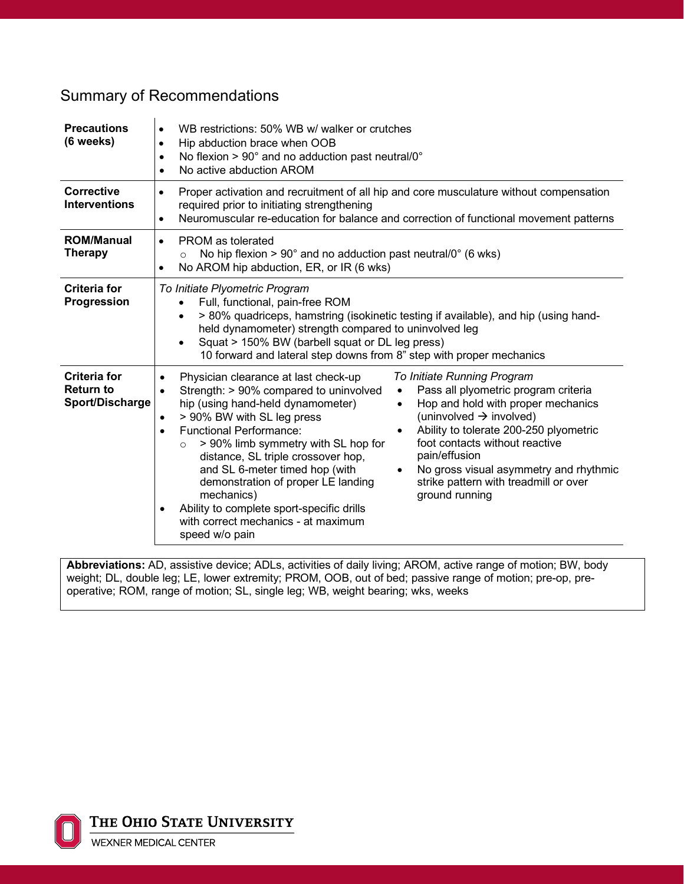### Summary of Recommendations

| <b>Precautions</b><br>(6 weeks)                            | WB restrictions: 50% WB w/ walker or crutches<br>٠<br>Hip abduction brace when OOB<br>$\bullet$<br>No flexion > 90° and no adduction past neutral/0°<br>$\bullet$<br>No active abduction AROM<br>$\bullet$                                                                                                                                                                                                                                                                                                                                                                                                                                                                                                                                                                                                                                                                                          |  |  |  |  |
|------------------------------------------------------------|-----------------------------------------------------------------------------------------------------------------------------------------------------------------------------------------------------------------------------------------------------------------------------------------------------------------------------------------------------------------------------------------------------------------------------------------------------------------------------------------------------------------------------------------------------------------------------------------------------------------------------------------------------------------------------------------------------------------------------------------------------------------------------------------------------------------------------------------------------------------------------------------------------|--|--|--|--|
| <b>Corrective</b><br><b>Interventions</b>                  | Proper activation and recruitment of all hip and core musculature without compensation<br>$\bullet$<br>required prior to initiating strengthening<br>Neuromuscular re-education for balance and correction of functional movement patterns<br>$\bullet$                                                                                                                                                                                                                                                                                                                                                                                                                                                                                                                                                                                                                                             |  |  |  |  |
| <b>ROM/Manual</b><br><b>Therapy</b>                        | <b>PROM</b> as tolerated<br>$\bullet$<br>No hip flexion $> 90^\circ$ and no adduction past neutral/0 $\degree$ (6 wks)<br>$\circ$<br>No AROM hip abduction, ER, or IR (6 wks)                                                                                                                                                                                                                                                                                                                                                                                                                                                                                                                                                                                                                                                                                                                       |  |  |  |  |
| <b>Criteria for</b><br>Progression                         | To Initiate Plyometric Program<br>Full, functional, pain-free ROM<br>> 80% quadriceps, hamstring (isokinetic testing if available), and hip (using hand-<br>held dynamometer) strength compared to uninvolved leg<br>Squat > 150% BW (barbell squat or DL leg press)<br>10 forward and lateral step downs from 8" step with proper mechanics                                                                                                                                                                                                                                                                                                                                                                                                                                                                                                                                                        |  |  |  |  |
| <b>Criteria for</b><br><b>Return to</b><br>Sport/Discharge | To Initiate Running Program<br>Physician clearance at last check-up<br>$\bullet$<br>Pass all plyometric program criteria<br>Strength: > 90% compared to uninvolved<br>$\bullet$<br>hip (using hand-held dynamometer)<br>Hop and hold with proper mechanics<br>(uninvolved $\rightarrow$ involved)<br>> 90% BW with SL leg press<br>$\bullet$<br>Ability to tolerate 200-250 plyometric<br><b>Functional Performance:</b><br>$\bullet$<br>foot contacts without reactive<br>> 90% limb symmetry with SL hop for<br>$\circ$<br>pain/effusion<br>distance, SL triple crossover hop,<br>and SL 6-meter timed hop (with<br>No gross visual asymmetry and rhythmic<br>$\bullet$<br>strike pattern with treadmill or over<br>demonstration of proper LE landing<br>mechanics)<br>ground running<br>Ability to complete sport-specific drills<br>٠<br>with correct mechanics - at maximum<br>speed w/o pain |  |  |  |  |

**Abbreviations:** AD, assistive device; ADLs, activities of daily living; AROM, active range of motion; BW, body weight; DL, double leg; LE, lower extremity; PROM, OOB, out of bed; passive range of motion; pre-op, preoperative; ROM, range of motion; SL, single leg; WB, weight bearing; wks, weeks



THE OHIO STATE UNIVERSITY

**WEXNER MEDICAL CENTER**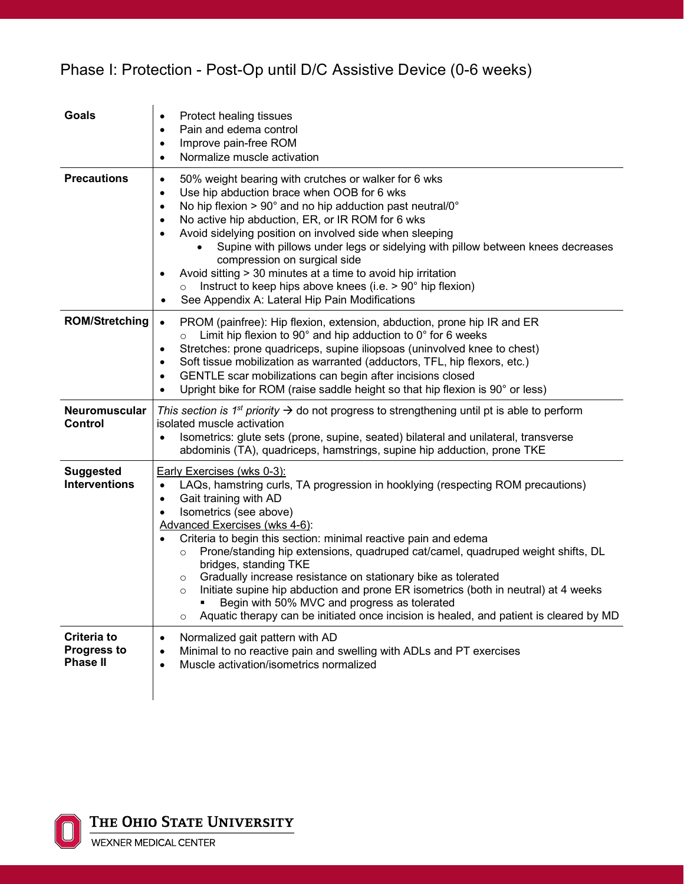# Phase I: Protection - Post-Op until D/C Assistive Device (0-6 weeks)

| <b>Goals</b>                                         | Protect healing tissues<br>٠<br>Pain and edema control<br>$\bullet$<br>Improve pain-free ROM<br>$\bullet$<br>Normalize muscle activation<br>$\bullet$                                                                                                                                                                                                                                                                                                                                                                                                                                                                                                                                                                                                   |
|------------------------------------------------------|---------------------------------------------------------------------------------------------------------------------------------------------------------------------------------------------------------------------------------------------------------------------------------------------------------------------------------------------------------------------------------------------------------------------------------------------------------------------------------------------------------------------------------------------------------------------------------------------------------------------------------------------------------------------------------------------------------------------------------------------------------|
| <b>Precautions</b>                                   | 50% weight bearing with crutches or walker for 6 wks<br>$\bullet$<br>Use hip abduction brace when OOB for 6 wks<br>$\bullet$<br>No hip flexion > 90° and no hip adduction past neutral/0°<br>$\bullet$<br>No active hip abduction, ER, or IR ROM for 6 wks<br>$\bullet$<br>Avoid sidelying position on involved side when sleeping<br>$\bullet$<br>Supine with pillows under legs or sidelying with pillow between knees decreases<br>compression on surgical side<br>Avoid sitting > 30 minutes at a time to avoid hip irritation<br>$\bullet$<br>Instruct to keep hips above knees (i.e. > 90° hip flexion)<br>$\circ$<br>See Appendix A: Lateral Hip Pain Modifications                                                                              |
| <b>ROM/Stretching</b>                                | PROM (painfree): Hip flexion, extension, abduction, prone hip IR and ER<br>$\bullet$<br>Limit hip flexion to 90 $^{\circ}$ and hip adduction to 0 $^{\circ}$ for 6 weeks<br>$\circ$<br>Stretches: prone quadriceps, supine iliopsoas (uninvolved knee to chest)<br>$\bullet$<br>Soft tissue mobilization as warranted (adductors, TFL, hip flexors, etc.)<br>$\bullet$<br>GENTLE scar mobilizations can begin after incisions closed<br>$\bullet$<br>Upright bike for ROM (raise saddle height so that hip flexion is 90° or less)<br>$\bullet$                                                                                                                                                                                                         |
| Neuromuscular<br>Control                             | This section is 1 <sup>st</sup> priority $\rightarrow$ do not progress to strengthening until pt is able to perform<br>isolated muscle activation<br>Isometrics: glute sets (prone, supine, seated) bilateral and unilateral, transverse<br>$\bullet$<br>abdominis (TA), quadriceps, hamstrings, supine hip adduction, prone TKE                                                                                                                                                                                                                                                                                                                                                                                                                        |
| <b>Suggested</b><br><b>Interventions</b>             | Early Exercises (wks 0-3):<br>LAQs, hamstring curls, TA progression in hooklying (respecting ROM precautions)<br>$\bullet$<br>Gait training with AD<br>$\bullet$<br>Isometrics (see above)<br>Advanced Exercises (wks 4-6):<br>Criteria to begin this section: minimal reactive pain and edema<br>Prone/standing hip extensions, quadruped cat/camel, quadruped weight shifts, DL<br>$\circ$<br>bridges, standing TKE<br>Gradually increase resistance on stationary bike as tolerated<br>$\circ$<br>Initiate supine hip abduction and prone ER isometrics (both in neutral) at 4 weeks<br>$\circ$<br>Begin with 50% MVC and progress as tolerated<br>Aquatic therapy can be initiated once incision is healed, and patient is cleared by MD<br>$\circ$ |
| Criteria to<br><b>Progress to</b><br><b>Phase II</b> | Normalized gait pattern with AD<br>$\bullet$<br>Minimal to no reactive pain and swelling with ADLs and PT exercises<br>$\bullet$<br>Muscle activation/isometrics normalized<br>$\bullet$                                                                                                                                                                                                                                                                                                                                                                                                                                                                                                                                                                |

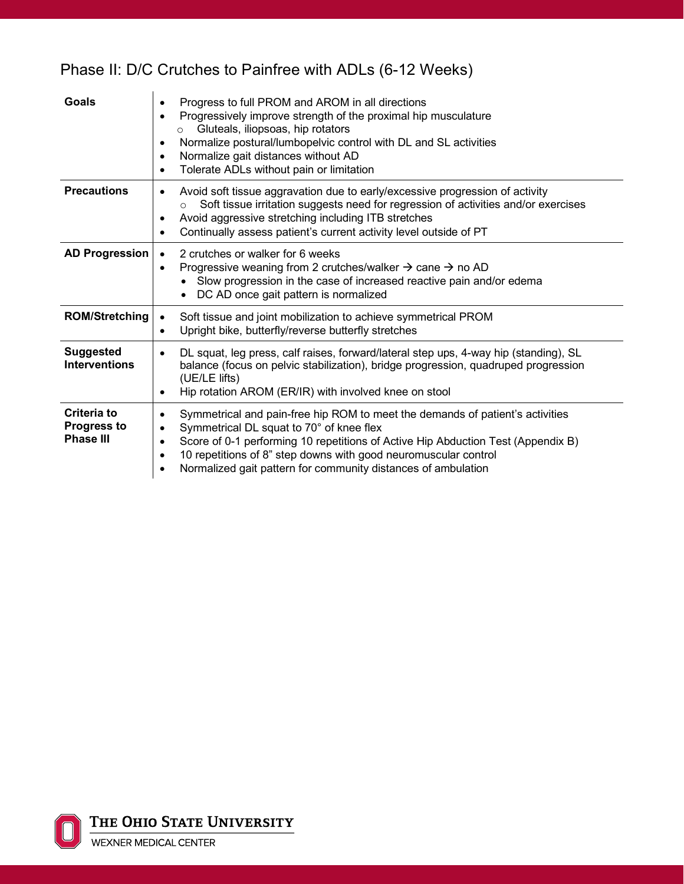# Phase II: D/C Crutches to Painfree with ADLs (6-12 Weeks)

| Goals                                                        | Progress to full PROM and AROM in all directions<br>٠<br>Progressively improve strength of the proximal hip musculature<br>$\bullet$<br>Gluteals, iliopsoas, hip rotators<br>$\circ$<br>Normalize postural/lumbopelvic control with DL and SL activities<br>٠<br>Normalize gait distances without AD<br>$\bullet$<br>Tolerate ADLs without pain or limitation<br>٠                                    |
|--------------------------------------------------------------|-------------------------------------------------------------------------------------------------------------------------------------------------------------------------------------------------------------------------------------------------------------------------------------------------------------------------------------------------------------------------------------------------------|
| <b>Precautions</b>                                           | Avoid soft tissue aggravation due to early/excessive progression of activity<br>٠<br>Soft tissue irritation suggests need for regression of activities and/or exercises<br>$\circ$<br>Avoid aggressive stretching including ITB stretches<br>٠<br>Continually assess patient's current activity level outside of PT<br>$\bullet$                                                                      |
| <b>AD Progression</b>                                        | 2 crutches or walker for 6 weeks<br>$\bullet$<br>Progressive weaning from 2 crutches/walker $\rightarrow$ cane $\rightarrow$ no AD<br>$\bullet$<br>Slow progression in the case of increased reactive pain and/or edema<br>DC AD once gait pattern is normalized                                                                                                                                      |
| <b>ROM/Stretching</b>                                        | Soft tissue and joint mobilization to achieve symmetrical PROM<br>$\bullet$<br>Upright bike, butterfly/reverse butterfly stretches<br>$\bullet$                                                                                                                                                                                                                                                       |
| <b>Suggested</b><br><b>Interventions</b>                     | DL squat, leg press, calf raises, forward/lateral step ups, 4-way hip (standing), SL<br>$\bullet$<br>balance (focus on pelvic stabilization), bridge progression, quadruped progression<br>(UE/LE lifts)<br>Hip rotation AROM (ER/IR) with involved knee on stool                                                                                                                                     |
| <b>Criteria to</b><br><b>Progress to</b><br><b>Phase III</b> | Symmetrical and pain-free hip ROM to meet the demands of patient's activities<br>$\bullet$<br>Symmetrical DL squat to 70° of knee flex<br>$\bullet$<br>Score of 0-1 performing 10 repetitions of Active Hip Abduction Test (Appendix B)<br>10 repetitions of 8" step downs with good neuromuscular control<br>$\bullet$<br>Normalized gait pattern for community distances of ambulation<br>$\bullet$ |

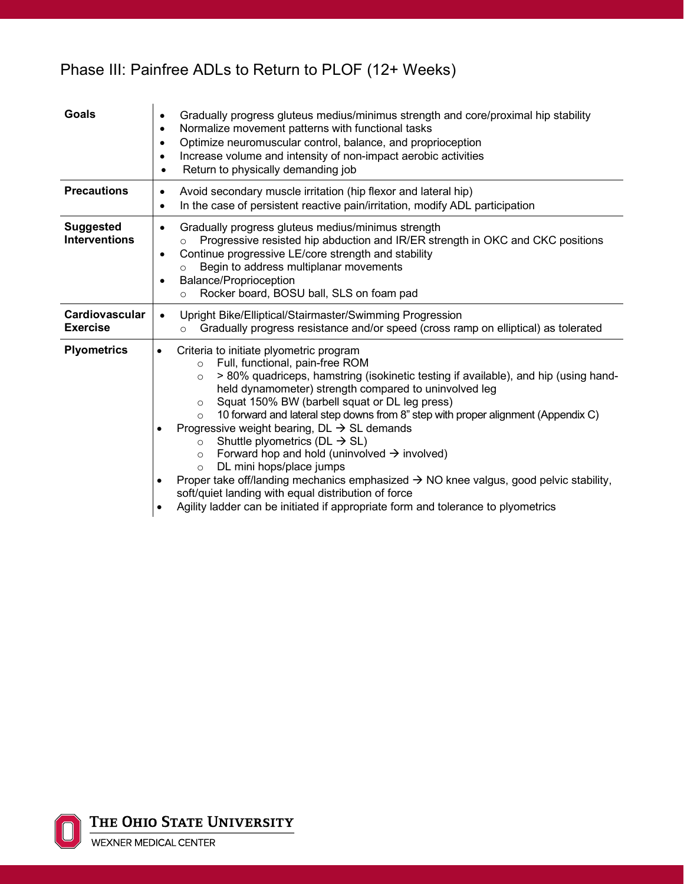| <b>Goals</b>                             | Gradually progress gluteus medius/minimus strength and core/proximal hip stability<br>$\bullet$<br>Normalize movement patterns with functional tasks<br>$\bullet$<br>Optimize neuromuscular control, balance, and proprioception<br>$\bullet$<br>Increase volume and intensity of non-impact aerobic activities<br>$\bullet$<br>Return to physically demanding job<br>$\bullet$                                                                                                                                                                                                                                                                                                                                                                                                                                                                                                                        |  |  |  |  |
|------------------------------------------|--------------------------------------------------------------------------------------------------------------------------------------------------------------------------------------------------------------------------------------------------------------------------------------------------------------------------------------------------------------------------------------------------------------------------------------------------------------------------------------------------------------------------------------------------------------------------------------------------------------------------------------------------------------------------------------------------------------------------------------------------------------------------------------------------------------------------------------------------------------------------------------------------------|--|--|--|--|
| <b>Precautions</b>                       | Avoid secondary muscle irritation (hip flexor and lateral hip)<br>$\bullet$<br>In the case of persistent reactive pain/irritation, modify ADL participation<br>$\bullet$                                                                                                                                                                                                                                                                                                                                                                                                                                                                                                                                                                                                                                                                                                                               |  |  |  |  |
| <b>Suggested</b><br><b>Interventions</b> | Gradually progress gluteus medius/minimus strength<br>$\bullet$<br>Progressive resisted hip abduction and IR/ER strength in OKC and CKC positions<br>$\circ$<br>Continue progressive LE/core strength and stability<br>$\bullet$<br>Begin to address multiplanar movements<br>$\circ$<br><b>Balance/Proprioception</b><br>$\bullet$<br>Rocker board, BOSU ball, SLS on foam pad<br>$\circ$                                                                                                                                                                                                                                                                                                                                                                                                                                                                                                             |  |  |  |  |
| Cardiovascular<br><b>Exercise</b>        | Upright Bike/Elliptical/Stairmaster/Swimming Progression<br>$\bullet$<br>Gradually progress resistance and/or speed (cross ramp on elliptical) as tolerated<br>$\circ$                                                                                                                                                                                                                                                                                                                                                                                                                                                                                                                                                                                                                                                                                                                                 |  |  |  |  |
| <b>Plyometrics</b>                       | Criteria to initiate plyometric program<br>$\bullet$<br>Full, functional, pain-free ROM<br>$\circ$<br>> 80% quadriceps, hamstring (isokinetic testing if available), and hip (using hand-<br>$\circ$<br>held dynamometer) strength compared to uninvolved leg<br>Squat 150% BW (barbell squat or DL leg press)<br>O<br>10 forward and lateral step downs from 8" step with proper alignment (Appendix C)<br>$\circ$<br>Progressive weight bearing, $DL \rightarrow SL$ demands<br>Shuttle plyometrics ( $DL \rightarrow SL$ )<br>$\circ$<br>Forward hop and hold (uninvolved $\rightarrow$ involved)<br>$\circ$<br>DL mini hops/place jumps<br>$\circ$<br>Proper take off/landing mechanics emphasized $\rightarrow$ NO knee valgus, good pelvic stability,<br>soft/quiet landing with equal distribution of force<br>Agility ladder can be initiated if appropriate form and tolerance to plyometrics |  |  |  |  |

# Phase III: Painfree ADLs to Return to PLOF (12+ Weeks)

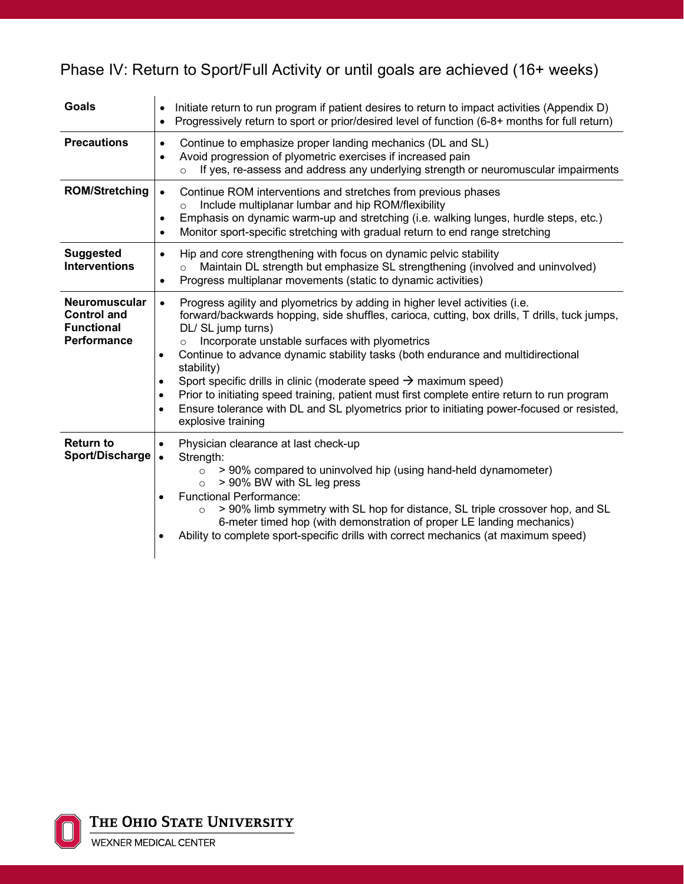# Phase IV: Return to Sport/Full Activity or until goals are achieved (16+ weeks)

| <b>Goals</b>                                                                   | Initiate return to run program if patient desires to return to impact activities (Appendix D)<br>$\bullet$<br>Progressively return to sport or prior/desired level of function (6-8+ months for full return)<br>$\bullet$                                                                                                                                                                                                                                                                                                                                                                                                                                                                                              |
|--------------------------------------------------------------------------------|------------------------------------------------------------------------------------------------------------------------------------------------------------------------------------------------------------------------------------------------------------------------------------------------------------------------------------------------------------------------------------------------------------------------------------------------------------------------------------------------------------------------------------------------------------------------------------------------------------------------------------------------------------------------------------------------------------------------|
| <b>Precautions</b>                                                             | Continue to emphasize proper landing mechanics (DL and SL)<br>$\bullet$<br>Avoid progression of plyometric exercises if increased pain<br>$\bullet$<br>If yes, re-assess and address any underlying strength or neuromuscular impairments<br>$\circ$                                                                                                                                                                                                                                                                                                                                                                                                                                                                   |
| <b>ROM/Stretching</b>                                                          | Continue ROM interventions and stretches from previous phases<br>$\bullet$<br>Include multiplanar lumbar and hip ROM/flexibility<br>Emphasis on dynamic warm-up and stretching (i.e. walking lunges, hurdle steps, etc.)<br>$\bullet$<br>Monitor sport-specific stretching with gradual return to end range stretching<br>$\bullet$                                                                                                                                                                                                                                                                                                                                                                                    |
| <b>Suggested</b><br><b>Interventions</b>                                       | Hip and core strengthening with focus on dynamic pelvic stability<br>$\bullet$<br>Maintain DL strength but emphasize SL strengthening (involved and uninvolved)<br>$\circ$<br>Progress multiplanar movements (static to dynamic activities)<br>$\bullet$                                                                                                                                                                                                                                                                                                                                                                                                                                                               |
| <b>Neuromuscular</b><br><b>Control and</b><br><b>Functional</b><br>Performance | Progress agility and plyometrics by adding in higher level activities (i.e.<br>$\bullet$<br>forward/backwards hopping, side shuffles, carioca, cutting, box drills, T drills, tuck jumps,<br>DL/ SL jump turns)<br>Incorporate unstable surfaces with plyometrics<br>$\circ$<br>Continue to advance dynamic stability tasks (both endurance and multidirectional<br>$\bullet$<br>stability)<br>Sport specific drills in clinic (moderate speed $\rightarrow$ maximum speed)<br>٠<br>Prior to initiating speed training, patient must first complete entire return to run program<br>٠<br>Ensure tolerance with DL and SL plyometrics prior to initiating power-focused or resisted,<br>$\bullet$<br>explosive training |
| <b>Return to</b><br>Sport/Discharge                                            | Physician clearance at last check-up<br>٠<br>Strength:<br>> 90% compared to uninvolved hip (using hand-held dynamometer)<br>$\circ$<br>> 90% BW with SL leg press<br>$\circ$<br><b>Functional Performance:</b><br>$\bullet$<br>> 90% limb symmetry with SL hop for distance, SL triple crossover hop, and SL<br>6-meter timed hop (with demonstration of proper LE landing mechanics)<br>Ability to complete sport-specific drills with correct mechanics (at maximum speed)                                                                                                                                                                                                                                           |

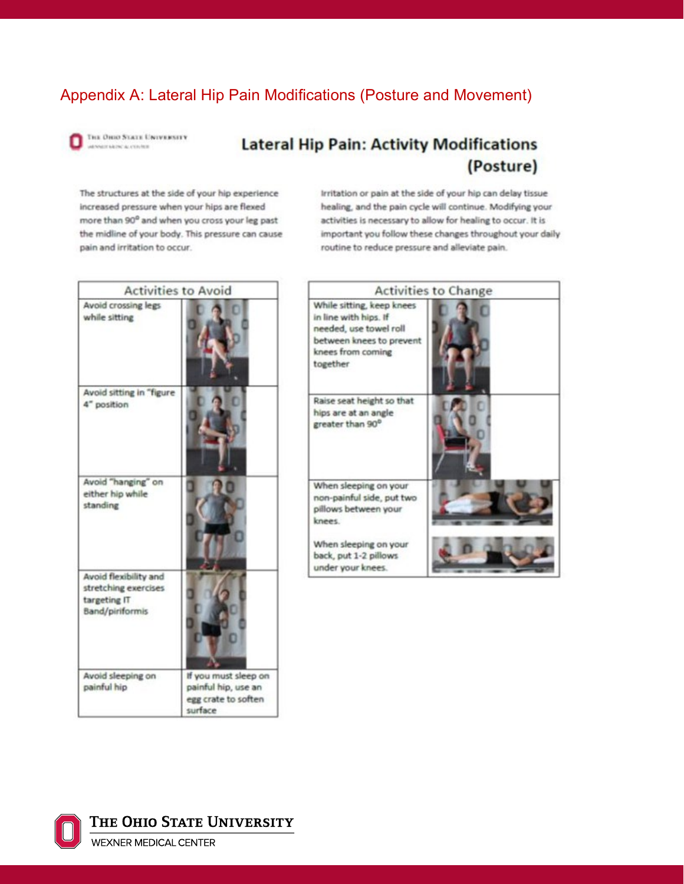### Appendix A: Lateral Hip Pain Modifications (Posture and Movement)

THE OHIO STATE UNIVERSITY ARRESTED FOR A CONTRACTOR

#### **Lateral Hip Pain: Activity Modifications** (Posture)

The structures at the side of your hip experience increased pressure when your hips are flexed more than 90° and when you cross your leg past the midline of your body. This pressure can cause pain and irritation to occur.

Irritation or pain at the side of your hip can delay tissue healing, and the pain cycle will continue. Modifying your activities is necessary to allow for healing to occur. It is important you follow these changes throughout your daily routine to reduce pressure and alleviate pain.

| <b>Activities to Avoid</b>                                                       |                                                                               |                               |
|----------------------------------------------------------------------------------|-------------------------------------------------------------------------------|-------------------------------|
| Avoid crossing legs<br>while sitting                                             |                                                                               | W<br>in<br>m<br>ь<br>kz<br>tc |
| Avoid sitting in "figure<br>4" position                                          |                                                                               | R.<br>hi<br>g)                |
| Avoid "hanging" on<br>either hip while<br>standing                               |                                                                               | W<br>m<br>pi<br>kr<br>W<br>ы  |
| Avoid flexibility and<br>stretching exercises<br>targeting IT<br>Band/piriformis |                                                                               | ü                             |
| Avoid sleeping on<br>painful hip                                                 | If you must sleep on<br>painful hip, use an<br>egg crate to soften<br>surface |                               |





THE OHIO STATE UNIVERSITY

WEXNER MEDICAL CENTER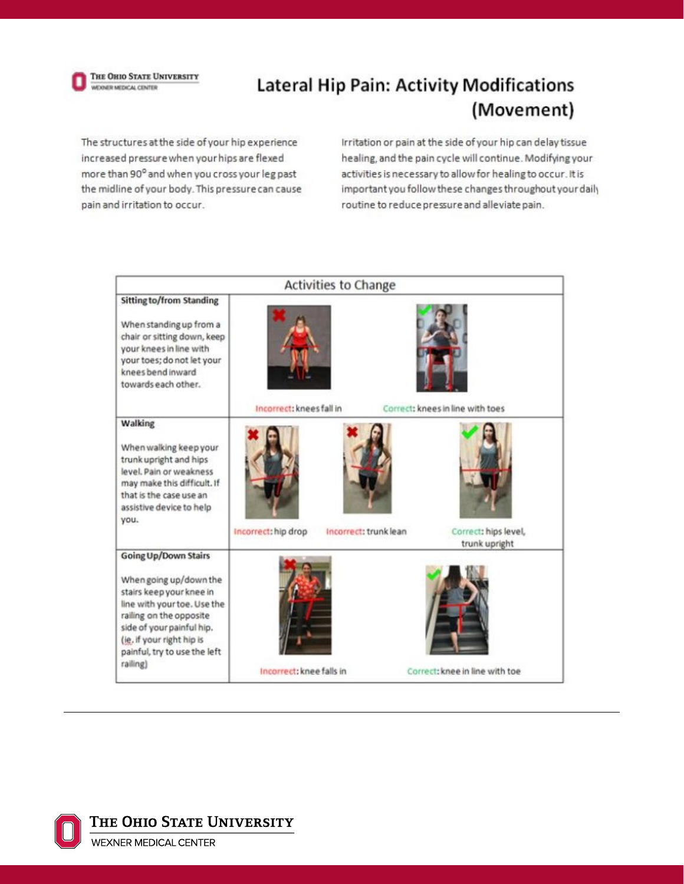

# **Lateral Hip Pain: Activity Modifications** (Movement)

The structures at the side of your hip experience increased pressure when your hips are flexed more than 90° and when you cross your leg past the midline of your body. This pressure can cause pain and irritation to occur.

Irritation or pain at the side of your hip can delay tissue healing, and the pain cycle will continue. Modifying your activities is necessary to allow for healing to occur. It is important you follow these changes throughout your daily routine to reduce pressure and alleviate pain.

|                                                                                                                                                                                                                                                   |                          | <b>Activities to Change</b> |                                       |
|---------------------------------------------------------------------------------------------------------------------------------------------------------------------------------------------------------------------------------------------------|--------------------------|-----------------------------|---------------------------------------|
| <b>Sitting to/from Standing</b><br>When standing up from a<br>chair or sitting down, keep<br>your knees in line with<br>your toes; do not let your<br>knees bend inward<br>towards each other.                                                    | Incorrect: knees fall in |                             | Correct: knees in line with toes      |
| Walking<br>When walking keep your<br>trunk upright and hips<br>level, Pain or weakness<br>may make this difficult. If<br>that is the case use an<br>assistive device to help<br>you.                                                              | Incorrect: hip drop      | Incorrect: trunk lean       | Correct: hips level,<br>trunk upright |
| <b>Going Up/Down Stairs</b><br>When going up/down the<br>stairs keep your knee in<br>line with your toe. Use the<br>railing on the opposite<br>side of your painful hip.<br>(ie. if your right hip is<br>painful, try to use the left<br>railing) | Incorrect: knee falls in |                             | Correct: knee in line with toe        |



THE OHIO STATE UNIVERSITY

**WEXNER MEDICAL CENTER**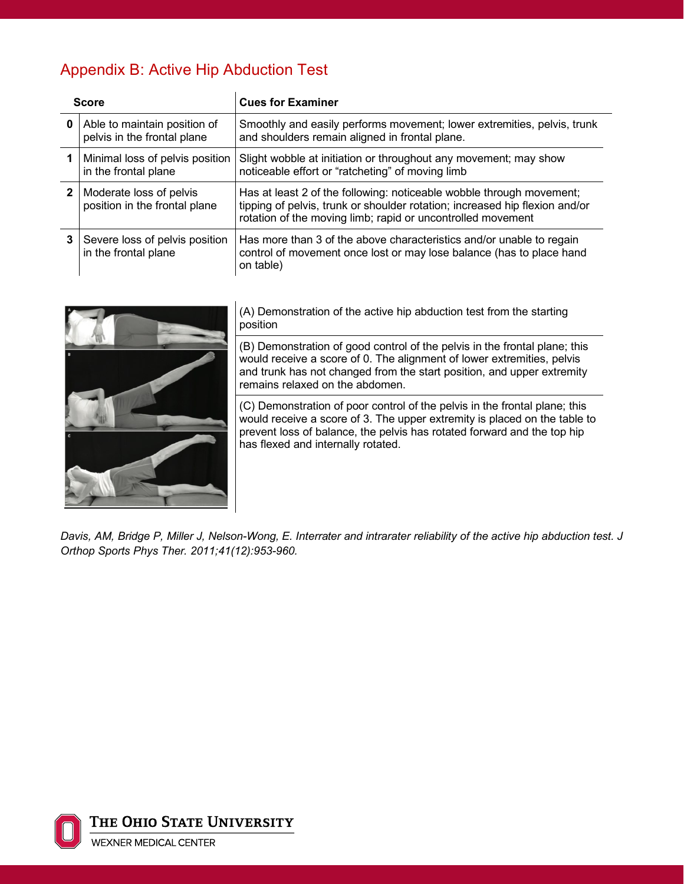# Appendix B: Active Hip Abduction Test

|              | <b>Score</b>                                                | <b>Cues for Examiner</b>                                                                                                                                                                                           |
|--------------|-------------------------------------------------------------|--------------------------------------------------------------------------------------------------------------------------------------------------------------------------------------------------------------------|
| 0            | Able to maintain position of<br>pelvis in the frontal plane | Smoothly and easily performs movement; lower extremities, pelvis, trunk<br>and shoulders remain aligned in frontal plane.                                                                                          |
|              | Minimal loss of pelvis position<br>in the frontal plane     | Slight wobble at initiation or throughout any movement; may show<br>noticeable effort or "ratcheting" of moving limb                                                                                               |
| $\mathbf{2}$ | Moderate loss of pelvis<br>position in the frontal plane    | Has at least 2 of the following: noticeable wobble through movement;<br>tipping of pelvis, trunk or shoulder rotation; increased hip flexion and/or<br>rotation of the moving limb; rapid or uncontrolled movement |
| 3            | Severe loss of pelvis position<br>in the frontal plane      | Has more than 3 of the above characteristics and/or unable to regain<br>control of movement once lost or may lose balance (has to place hand<br>on table)                                                          |



(A) Demonstration of the active hip abduction test from the starting position

(B) Demonstration of good control of the pelvis in the frontal plane; this would receive a score of 0. The alignment of lower extremities, pelvis and trunk has not changed from the start position, and upper extremity remains relaxed on the abdomen.

(C) Demonstration of poor control of the pelvis in the frontal plane; this would receive a score of 3. The upper extremity is placed on the table to prevent loss of balance, the pelvis has rotated forward and the top hip has flexed and internally rotated.

*Davis, AM, Bridge P, Miller J, Nelson-Wong, E. Interrater and intrarater reliability of the active hip abduction test. J Orthop Sports Phys Ther. 2011;41(12):953-960.*

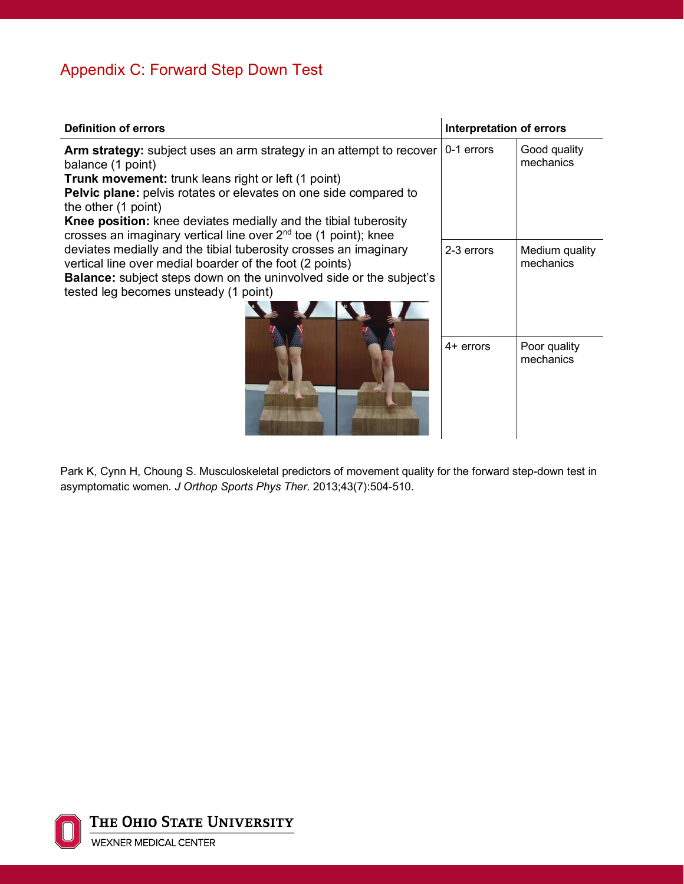# Appendix C: Forward Step Down Test

| <b>Definition of errors</b>                                                                                                                                                                                                                                                                                                                                                               | <b>Interpretation of errors</b> |                             |
|-------------------------------------------------------------------------------------------------------------------------------------------------------------------------------------------------------------------------------------------------------------------------------------------------------------------------------------------------------------------------------------------|---------------------------------|-----------------------------|
| Arm strategy: subject uses an arm strategy in an attempt to recover<br>balance (1 point)<br><b>Trunk movement:</b> trunk leans right or left (1 point)<br>Pelvic plane: pelvis rotates or elevates on one side compared to<br>the other (1 point)<br>Knee position: knee deviates medially and the tibial tuberosity<br>crosses an imaginary vertical line over $2nd$ toe (1 point); knee | 0-1 errors                      | Good quality<br>mechanics   |
| deviates medially and the tibial tuberosity crosses an imaginary<br>vertical line over medial boarder of the foot (2 points)<br><b>Balance:</b> subject steps down on the uninvolved side or the subject's<br>tested leg becomes unsteady (1 point)                                                                                                                                       | 2-3 errors                      | Medium quality<br>mechanics |
|                                                                                                                                                                                                                                                                                                                                                                                           | $4+$ errors                     | Poor quality<br>mechanics   |

Park K, Cynn H, Choung S. Musculoskeletal predictors of movement quality for the forward step-down test in asymptomatic women. *J Orthop Sports Phys Ther.* 2013;43(7):504-510.

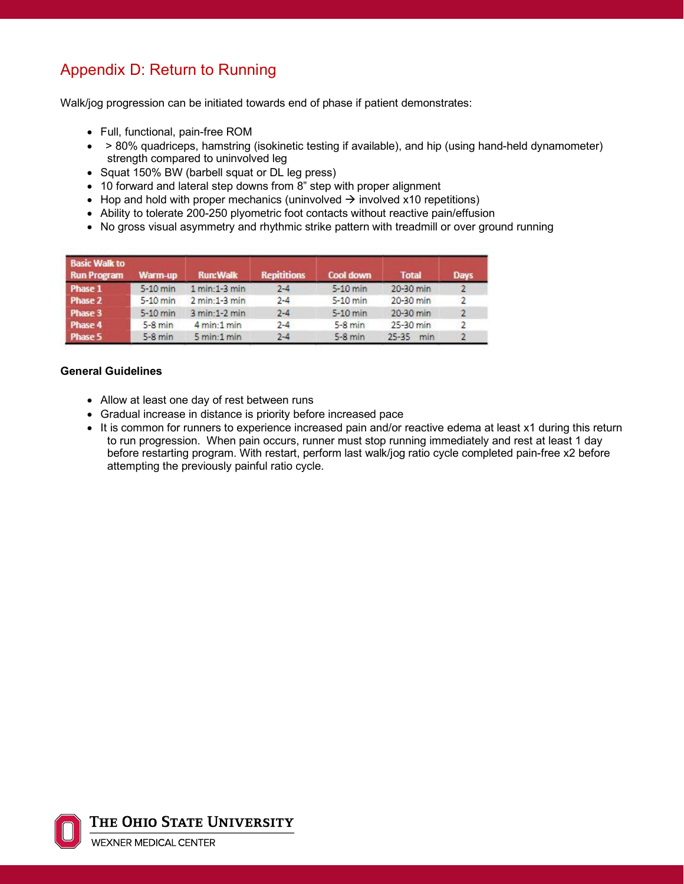# Appendix D: Return to Running

Walk/jog progression can be initiated towards end of phase if patient demonstrates:

- Full, functional, pain-free ROM
- > 80% quadriceps, hamstring (isokinetic testing if available), and hip (using hand-held dynamometer) strength compared to uninvolved leg
- Squat 150% BW (barbell squat or DL leg press)
- 10 forward and lateral step downs from 8" step with proper alignment
- Hop and hold with proper mechanics (uninvolved  $\rightarrow$  involved x10 repetitions)
- Ability to tolerate 200-250 plyometric foot contacts without reactive pain/effusion
- No gross visual asymmetry and rhythmic strike pattern with treadmill or over ground running

| <b>Basic Walk to</b><br><b>Run Program</b> | Warm-up   | <b>Run:Walk</b>                | <b>Repititions</b> | Cool down | <b>Total</b>     | <b>Days</b>    |
|--------------------------------------------|-----------|--------------------------------|--------------------|-----------|------------------|----------------|
| Phase 1                                    | 5-10 min  | $1 min:1-3 min$                | $2 - 4$            | 5-10 min  | 20-30 min        |                |
| Phase 2                                    | 5-10 min  | $2 min:1-3 min$                | $2 - 4$            | 5-10 min  | 20-30 min        | $\overline{2}$ |
| Phase 3                                    | 5-10 min  | $3 min:1-2 min$                | $2 - 4$            | 5-10 min  | 20-30 min        | $\overline{2}$ |
| Phase 4                                    | $5-8$ min | $4 \text{ min:} 1 \text{ min}$ | $2 - 4$            | $5-8$ min | 25-30 min        | $\mathcal{L}$  |
| <b>Phase 5</b>                             | $5-8$ min | 5 min:1 min                    | $2 - 4$            | $5-8$ min | $25 - 35$<br>min |                |

#### **General Guidelines**

- Allow at least one day of rest between runs
- Gradual increase in distance is priority before increased pace
- It is common for runners to experience increased pain and/or reactive edema at least x1 during this return to run progression. When pain occurs, runner must stop running immediately and rest at least 1 day before restarting program. With restart, perform last walk/jog ratio cycle completed pain-free x2 before attempting the previously painful ratio cycle.